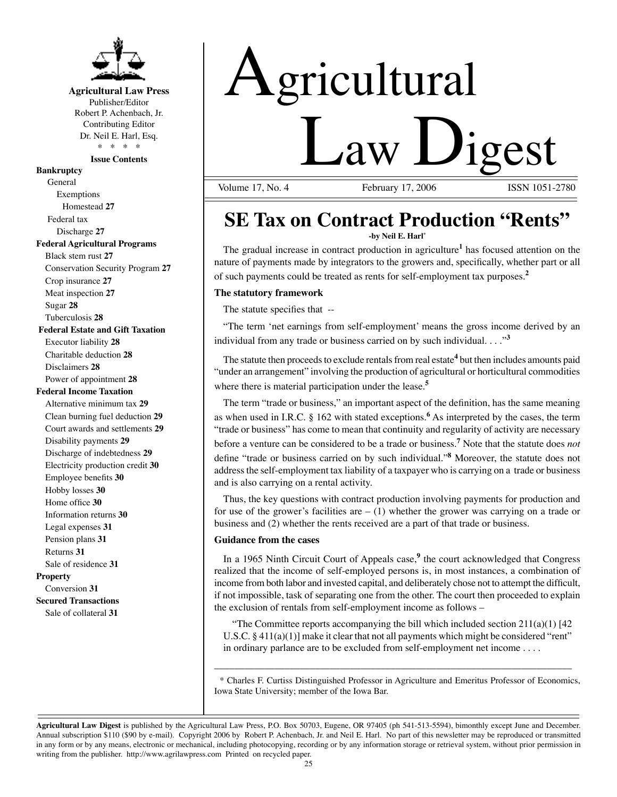

# **Agricultural Law Press**

Publisher/Editor Robert P. Achenbach, Jr. Contributing Editor Dr. Neil E. Harl, Esq. \* \* \* \*

**Issue Contents** 

## **Bankruptcy**

General Exemptions Homestead **27** Federal tax Discharge **27 Federal Agricultural Programs** Black stem rust **27**  Conservation Security Program **27**  Crop insurance **27**  Meat inspection **27**  Sugar **28**  Tuberculosis **28 Federal Estate and Gift Taxation**  Executor liability **28**  Charitable deduction **28**  Disclaimers **28**  Power of appointment **28 Federal Income Taxation**  Alternative minimum tax **29**  Clean burning fuel deduction **29**  Court awards and settlements **29**  Disability payments **29**  Discharge of indebtedness **29**  Electricity production credit **30**  Employee benefits **30**  Hobby losses **30**  Home office **30**  Information returns **30**  Legal expenses **31**  Pension plans **31**  Returns **31**  Sale of residence **31 Property** Conversion **31 Secured Transactions**  Sale of collateral **31** 

# Agricultural  $Law$  Digest

Volume 17, No. 4 February 17, 2006

# **SE Tax on Contract Production "Rents" -by Neil E. Harl\***

The gradual increase in contract production in agriculture**<sup>1</sup>**has focused attention on the nature of payments made by integrators to the growers and, specifically, whether part or all of such payments could be treated as rents for self-employment tax purposes.**<sup>2</sup>**

### **The statutory framework**

The statute specifies that --

"The term 'net earnings from self-employment' means the gross income derived by an individual from any trade or business carried on by such individual. . . ."**<sup>3</sup>**

The statute then proceeds to exclude rentals from real estate**<sup>4</sup>**but then includes amounts paid "under an arrangement" involving the production of agricultural or horticultural commodities where there is material participation under the lease.**<sup>5</sup>**

The term "trade or business," an important aspect of the definition, has the same meaning as when used in I.R.C. § 162 with stated exceptions.**<sup>6</sup>**As interpreted by the cases, the term "trade or business" has come to mean that continuity and regularity of activity are necessary before a venture can be considered to be a trade or business.**<sup>7</sup>**Note that the statute does *not*  define "trade or business carried on by such individual."**<sup>8</sup>**Moreover, the statute does not address the self-employment tax liability of a taxpayer who is carrying on a trade or business and is also carrying on a rental activity.

Thus, the key questions with contract production involving payments for production and for use of the grower's facilities are  $- (1)$  whether the grower was carrying on a trade or business and (2) whether the rents received are a part of that trade or business.

### **Guidance from the cases**

In a 1965 Ninth Circuit Court of Appeals case,**<sup>9</sup>**the court acknowledged that Congress realized that the income of self-employed persons is, in most instances, a combination of income from both labor and invested capital, and deliberately chose not to attempt the difficult, if not impossible, task of separating one from the other. The court then proceeded to explain the exclusion of rentals from self-employment income as follows –

"The Committee reports accompanying the bill which included section  $211(a)(1)$  [42] U.S.C. § 411(a)(1)] make it clear that not all payments which might be considered "rent" in ordinary parlance are to be excluded from self-employment net income . . . .

\* Charles F. Curtiss Distinguished Professor in Agriculture and Emeritus Professor of Economics, Iowa State University; member of the Iowa Bar.

\_\_\_\_\_\_\_\_\_\_\_\_\_\_\_\_\_\_\_\_\_\_\_\_\_\_\_\_\_\_\_\_\_\_\_\_\_\_\_\_\_\_\_\_\_\_\_\_\_\_\_\_\_\_\_\_\_\_\_\_\_\_\_\_\_\_\_\_\_\_\_

**Agricultural Law Digest** is published by the Agricultural Law Press, P.O. Box 50703, Eugene, OR 97405 (ph 541-513-5594), bimonthly except June and December. Annual subscription \$110 (\$90 by e-mail). Copyright 2006 by Robert P. Achenbach, Jr. and Neil E. Harl. No part of this newsletter may be reproduced or transmitted in any form or by any means, electronic or mechanical, including photocopying, recording or by any information storage or retrieval system, without prior permission in writing from the publisher. http://www.agrilawpress.com Printed on recycled paper.